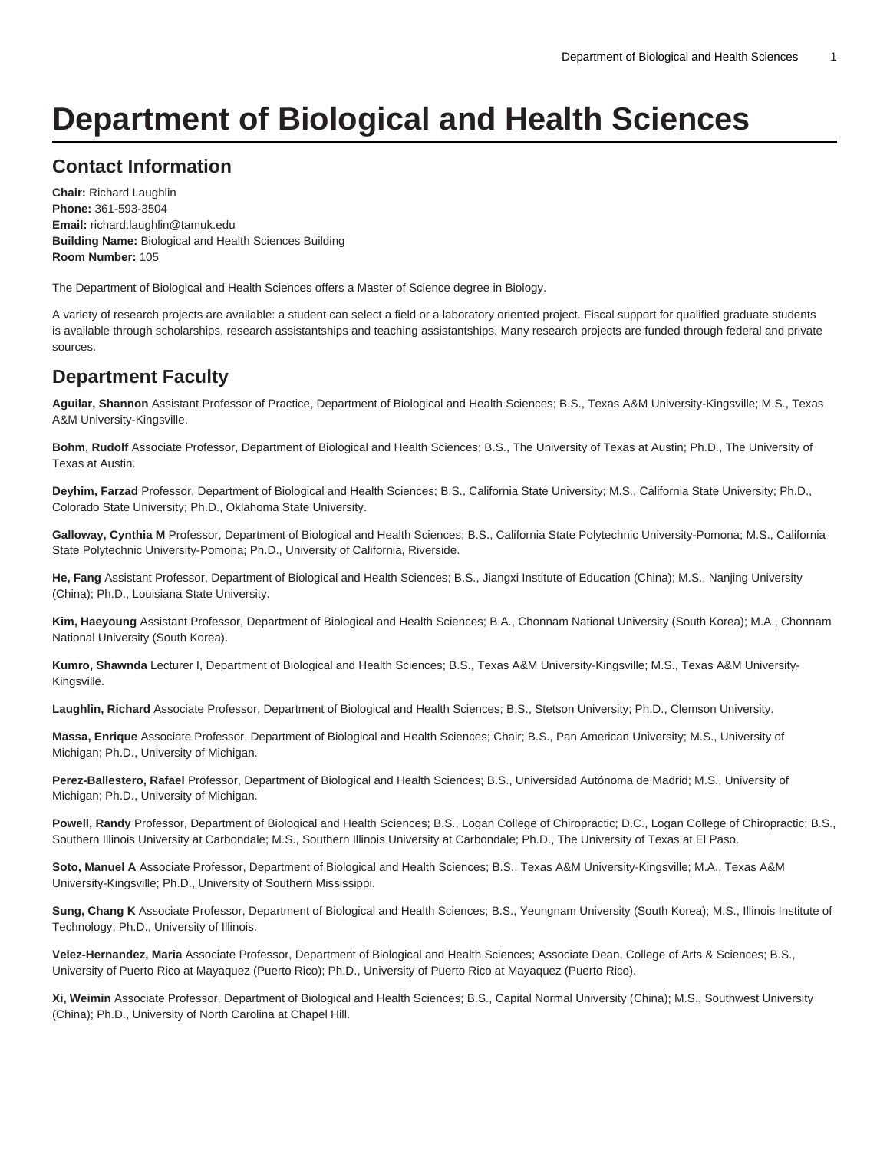# **Department of Biological and Health Sciences**

# **Contact Information**

**Chair:** Richard Laughlin **Phone:** 361-593-3504 **Email:** [richard.laughlin@tamuk.edu](mailto:richard.laughlin@tamuk.edu) **Building Name:** Biological and Health Sciences Building **Room Number:** 105

The Department of Biological and Health Sciences offers a Master of Science degree in Biology.

A variety of research projects are available: a student can select a field or a laboratory oriented project. Fiscal support for qualified graduate students is available through scholarships, research assistantships and teaching assistantships. Many research projects are funded through federal and private sources.

### **Department Faculty**

**Aguilar, Shannon** Assistant Professor of Practice, Department of Biological and Health Sciences; B.S., Texas A&M University-Kingsville; M.S., Texas A&M University-Kingsville.

**Bohm, Rudolf** Associate Professor, Department of Biological and Health Sciences; B.S., The University of Texas at Austin; Ph.D., The University of Texas at Austin.

**Deyhim, Farzad** Professor, Department of Biological and Health Sciences; B.S., California State University; M.S., California State University; Ph.D., Colorado State University; Ph.D., Oklahoma State University.

**Galloway, Cynthia M** Professor, Department of Biological and Health Sciences; B.S., California State Polytechnic University-Pomona; M.S., California State Polytechnic University-Pomona; Ph.D., University of California, Riverside.

**He, Fang** Assistant Professor, Department of Biological and Health Sciences; B.S., Jiangxi Institute of Education (China); M.S., Nanjing University (China); Ph.D., Louisiana State University.

**Kim, Haeyoung** Assistant Professor, Department of Biological and Health Sciences; B.A., Chonnam National University (South Korea); M.A., Chonnam National University (South Korea).

**Kumro, Shawnda** Lecturer I, Department of Biological and Health Sciences; B.S., Texas A&M University-Kingsville; M.S., Texas A&M University-Kingsville.

**Laughlin, Richard** Associate Professor, Department of Biological and Health Sciences; B.S., Stetson University; Ph.D., Clemson University.

**Massa, Enrique** Associate Professor, Department of Biological and Health Sciences; Chair; B.S., Pan American University; M.S., University of Michigan; Ph.D., University of Michigan.

**Perez-Ballestero, Rafael** Professor, Department of Biological and Health Sciences; B.S., Universidad Autónoma de Madrid; M.S., University of Michigan; Ph.D., University of Michigan.

**Powell, Randy** Professor, Department of Biological and Health Sciences; B.S., Logan College of Chiropractic; D.C., Logan College of Chiropractic; B.S., Southern Illinois University at Carbondale; M.S., Southern Illinois University at Carbondale; Ph.D., The University of Texas at El Paso.

**Soto, Manuel A** Associate Professor, Department of Biological and Health Sciences; B.S., Texas A&M University-Kingsville; M.A., Texas A&M University-Kingsville; Ph.D., University of Southern Mississippi.

**Sung, Chang K** Associate Professor, Department of Biological and Health Sciences; B.S., Yeungnam University (South Korea); M.S., Illinois Institute of Technology; Ph.D., University of Illinois.

**Velez-Hernandez, Maria** Associate Professor, Department of Biological and Health Sciences; Associate Dean, College of Arts & Sciences; B.S., University of Puerto Rico at Mayaquez (Puerto Rico); Ph.D., University of Puerto Rico at Mayaquez (Puerto Rico).

**Xi, Weimin** Associate Professor, Department of Biological and Health Sciences; B.S., Capital Normal University (China); M.S., Southwest University (China); Ph.D., University of North Carolina at Chapel Hill.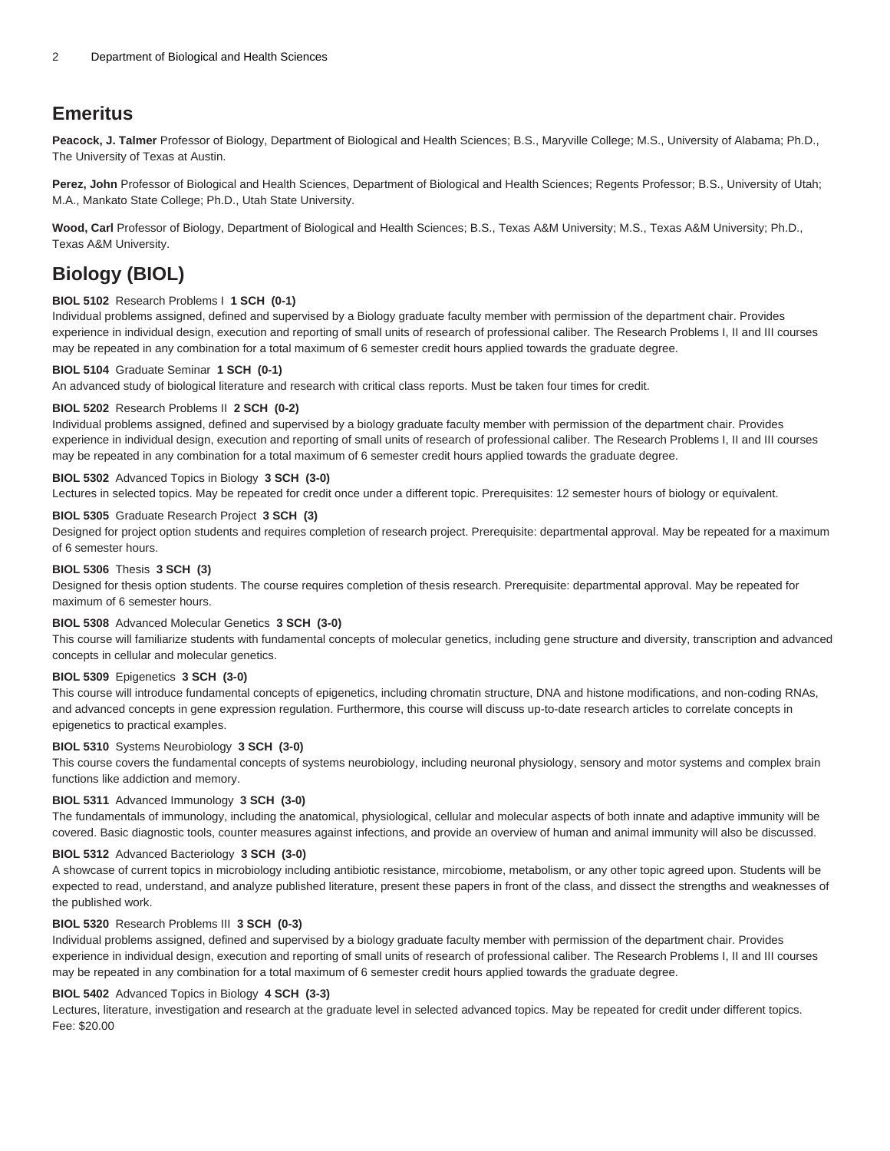# **Emeritus**

**Peacock, J. Talmer** Professor of Biology, Department of Biological and Health Sciences; B.S., Maryville College; M.S., University of Alabama; Ph.D., The University of Texas at Austin.

Perez, John Professor of Biological and Health Sciences, Department of Biological and Health Sciences; Regents Professor; B.S., University of Utah; M.A., Mankato State College; Ph.D., Utah State University.

**Wood, Carl** Professor of Biology, Department of Biological and Health Sciences; B.S., Texas A&M University; M.S., Texas A&M University; Ph.D., Texas A&M University.

# **Biology (BIOL)**

#### **BIOL 5102** Research Problems I **1 SCH (0-1)**

Individual problems assigned, defined and supervised by a Biology graduate faculty member with permission of the department chair. Provides experience in individual design, execution and reporting of small units of research of professional caliber. The Research Problems I, II and III courses may be repeated in any combination for a total maximum of 6 semester credit hours applied towards the graduate degree.

#### **BIOL 5104** Graduate Seminar **1 SCH (0-1)**

An advanced study of biological literature and research with critical class reports. Must be taken four times for credit.

#### **BIOL 5202** Research Problems II **2 SCH (0-2)**

Individual problems assigned, defined and supervised by a biology graduate faculty member with permission of the department chair. Provides experience in individual design, execution and reporting of small units of research of professional caliber. The Research Problems I, II and III courses may be repeated in any combination for a total maximum of 6 semester credit hours applied towards the graduate degree.

#### **BIOL 5302** Advanced Topics in Biology **3 SCH (3-0)**

Lectures in selected topics. May be repeated for credit once under a different topic. Prerequisites: 12 semester hours of biology or equivalent.

#### **BIOL 5305** Graduate Research Project **3 SCH (3)**

Designed for project option students and requires completion of research project. Prerequisite: departmental approval. May be repeated for a maximum of 6 semester hours.

### **BIOL 5306** Thesis **3 SCH (3)**

Designed for thesis option students. The course requires completion of thesis research. Prerequisite: departmental approval. May be repeated for maximum of 6 semester hours.

#### **BIOL 5308** Advanced Molecular Genetics **3 SCH (3-0)**

This course will familiarize students with fundamental concepts of molecular genetics, including gene structure and diversity, transcription and advanced concepts in cellular and molecular genetics.

#### **BIOL 5309** Epigenetics **3 SCH (3-0)**

This course will introduce fundamental concepts of epigenetics, including chromatin structure, DNA and histone modifications, and non-coding RNAs, and advanced concepts in gene expression regulation. Furthermore, this course will discuss up-to-date research articles to correlate concepts in epigenetics to practical examples.

#### **BIOL 5310** Systems Neurobiology **3 SCH (3-0)**

This course covers the fundamental concepts of systems neurobiology, including neuronal physiology, sensory and motor systems and complex brain functions like addiction and memory.

#### **BIOL 5311** Advanced Immunology **3 SCH (3-0)**

The fundamentals of immunology, including the anatomical, physiological, cellular and molecular aspects of both innate and adaptive immunity will be covered. Basic diagnostic tools, counter measures against infections, and provide an overview of human and animal immunity will also be discussed.

#### **BIOL 5312** Advanced Bacteriology **3 SCH (3-0)**

A showcase of current topics in microbiology including antibiotic resistance, mircobiome, metabolism, or any other topic agreed upon. Students will be expected to read, understand, and analyze published literature, present these papers in front of the class, and dissect the strengths and weaknesses of the published work.

#### **BIOL 5320** Research Problems III **3 SCH (0-3)**

Individual problems assigned, defined and supervised by a biology graduate faculty member with permission of the department chair. Provides experience in individual design, execution and reporting of small units of research of professional caliber. The Research Problems I, II and III courses may be repeated in any combination for a total maximum of 6 semester credit hours applied towards the graduate degree.

#### **BIOL 5402** Advanced Topics in Biology **4 SCH (3-3)**

Lectures, literature, investigation and research at the graduate level in selected advanced topics. May be repeated for credit under different topics. Fee: \$20.00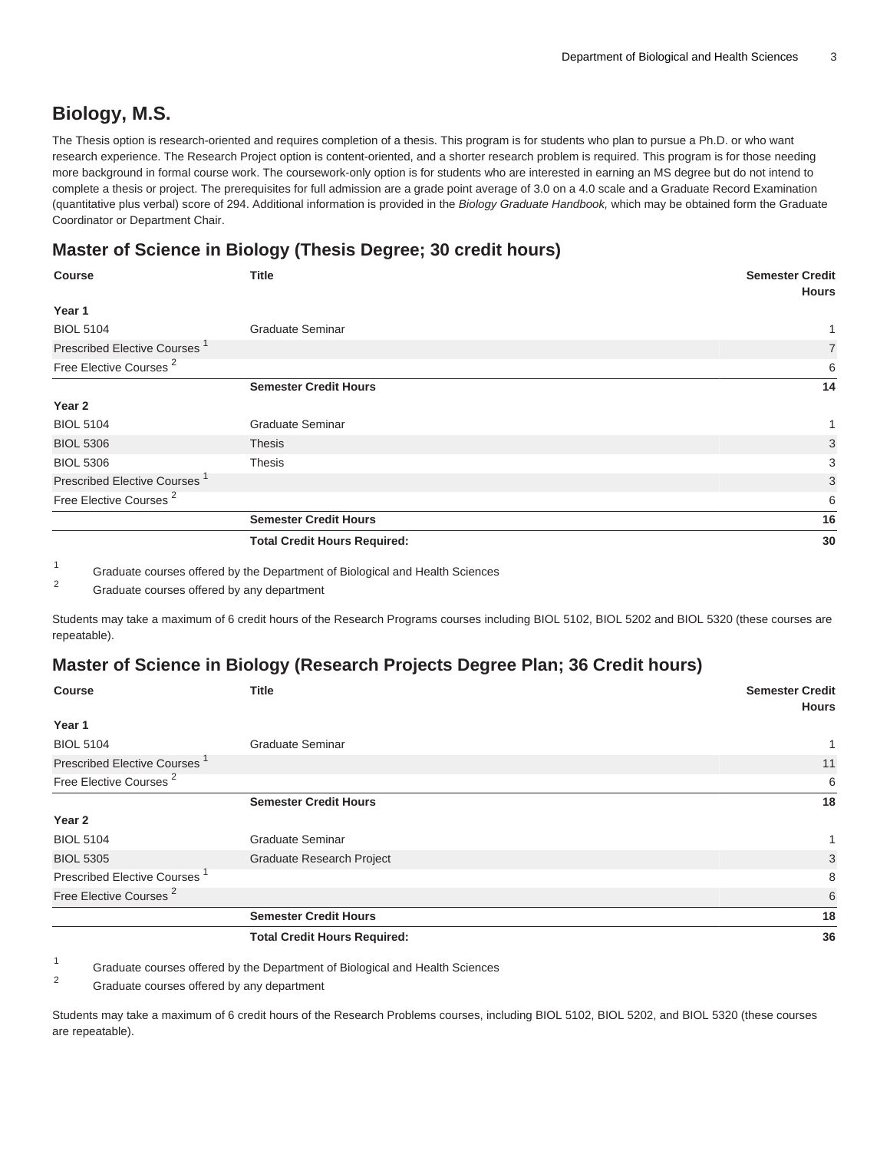### **Biology, M.S.**

The Thesis option is research-oriented and requires completion of a thesis. This program is for students who plan to pursue a Ph.D. or who want research experience. The Research Project option is content-oriented, and a shorter research problem is required. This program is for those needing more background in formal course work. The coursework-only option is for students who are interested in earning an MS degree but do not intend to complete a thesis or project. The prerequisites for full admission are a grade point average of 3.0 on a 4.0 scale and a Graduate Record Examination (quantitative plus verbal) score of 294. Additional information is provided in the Biology Graduate Handbook, which may be obtained form the Graduate Coordinator or Department Chair.

### **Master of Science in Biology (Thesis Degree; 30 credit hours)**

| <b>Course</b>                            | <b>Title</b>                        | <b>Semester Credit</b><br><b>Hours</b> |
|------------------------------------------|-------------------------------------|----------------------------------------|
| Year 1                                   |                                     |                                        |
| <b>BIOL 5104</b>                         | <b>Graduate Seminar</b>             |                                        |
| Prescribed Elective Courses <sup>1</sup> |                                     | $\overline{7}$                         |
| Free Elective Courses <sup>2</sup>       |                                     | 6                                      |
|                                          | <b>Semester Credit Hours</b>        | 14                                     |
| Year 2                                   |                                     |                                        |
| <b>BIOL 5104</b>                         | <b>Graduate Seminar</b>             |                                        |
| <b>BIOL 5306</b>                         | <b>Thesis</b>                       | 3                                      |
| <b>BIOL 5306</b>                         | <b>Thesis</b>                       | 3                                      |
| Prescribed Elective Courses <sup>1</sup> |                                     | 3                                      |
| Free Elective Courses <sup>2</sup>       |                                     | 6                                      |
|                                          | <b>Semester Credit Hours</b>        | 16                                     |
|                                          | <b>Total Credit Hours Required:</b> | 30                                     |

1 Graduate courses offered by the Department of Biological and Health Sciences

2 Graduate courses offered by any department

Students may take a maximum of 6 credit hours of the Research Programs courses including BIOL 5102, BIOL 5202 and BIOL 5320 (these courses are repeatable).

### **Master of Science in Biology (Research Projects Degree Plan; 36 Credit hours)**

| <b>Course</b>                            | <b>Title</b>                        | <b>Semester Credit</b><br><b>Hours</b> |
|------------------------------------------|-------------------------------------|----------------------------------------|
| Year 1                                   |                                     |                                        |
| <b>BIOL 5104</b>                         | <b>Graduate Seminar</b>             |                                        |
| Prescribed Elective Courses <sup>1</sup> |                                     | 11                                     |
| Free Elective Courses <sup>2</sup>       |                                     | 6                                      |
|                                          | <b>Semester Credit Hours</b>        | 18                                     |
| Year 2                                   |                                     |                                        |
| <b>BIOL 5104</b>                         | <b>Graduate Seminar</b>             |                                        |
| <b>BIOL 5305</b>                         | Graduate Research Project           | 3                                      |
| <b>Prescribed Elective Courses</b>       |                                     | 8                                      |
| Free Elective Courses <sup>2</sup>       |                                     | 6                                      |
|                                          | <b>Semester Credit Hours</b>        | 18                                     |
|                                          | <b>Total Credit Hours Required:</b> | 36                                     |

1 Graduate courses offered by the Department of Biological and Health Sciences

2 Graduate courses offered by any department

Students may take a maximum of 6 credit hours of the Research Problems courses, including BIOL 5102, BIOL 5202, and BIOL 5320 (these courses are repeatable).